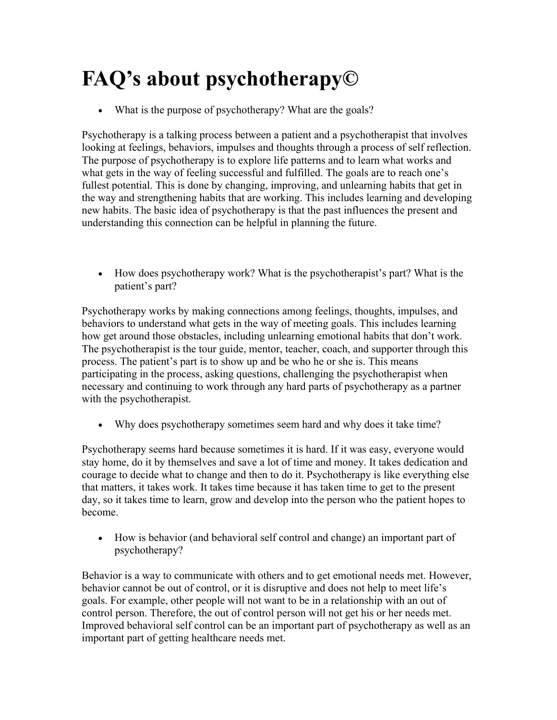## **FAQ's about psychotherapy©**

What is the purpose of psychotherapy? What are the goals?

Psychotherapy is a talking process between a patient and a psychotherapist that involves looking at feelings, behaviors, impulses and thoughts through a process of self reflection. The purpose of psychotherapy is to explore life patterns and to learn what works and what gets in the way of feeling successful and fulfilled. The goals are to reach one's fullest potential. This is done by changing, improving, and unlearning habits that get in the way and strengthening habits that are working. This includes learning and developing new habits. The basic idea of psychotherapy is that the past influences the present and understanding this connection can be helpful in planning the future.

 How does psychotherapy work? What is the psychotherapist's part? What is the patient's part?

Psychotherapy works by making connections among feelings, thoughts, impulses, and behaviors to understand what gets in the way of meeting goals. This includes learning how get around those obstacles, including unlearning emotional habits that don't work. The psychotherapist is the tour guide, mentor, teacher, coach, and supporter through this process. The patient's part is to show up and be who he or she is. This means participating in the process, asking questions, challenging the psychotherapist when necessary and continuing to work through any hard parts of psychotherapy as a partner with the psychotherapist.

Why does psychotherapy sometimes seem hard and why does it take time?

Psychotherapy seems hard because sometimes it is hard. If it was easy, everyone would stay home, do it by themselves and save a lot of time and money. It takes dedication and courage to decide what to change and then to do it. Psychotherapy is like everything else that matters, it takes work. It takes time because it has taken time to get to the present day, so it takes time to learn, grow and develop into the person who the patient hopes to become.

 How is behavior (and behavioral self control and change) an important part of psychotherapy?

Behavior is a way to communicate with others and to get emotional needs met. However, behavior cannot be out of control, or it is disruptive and does not help to meet life's goals. For example, other people will not want to be in a relationship with an out of control person. Therefore, the out of control person will not get his or her needs met. Improved behavioral self control can be an important part of psychotherapy as well as an important part of getting healthcare needs met.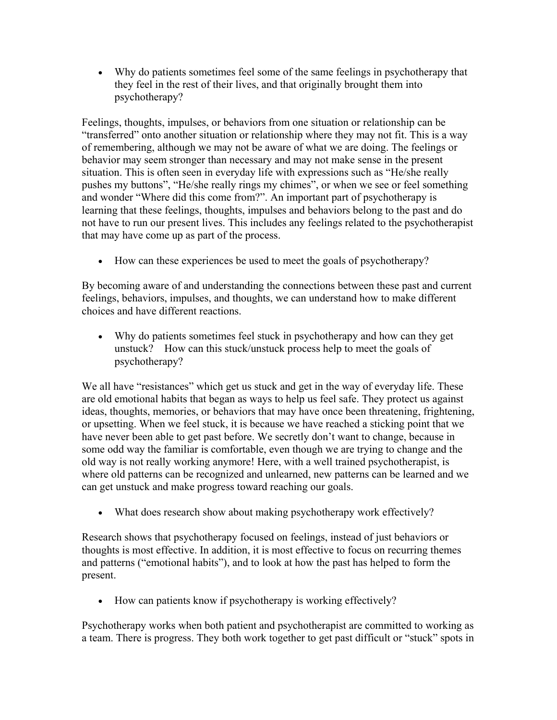Why do patients sometimes feel some of the same feelings in psychotherapy that they feel in the rest of their lives, and that originally brought them into psychotherapy?

Feelings, thoughts, impulses, or behaviors from one situation or relationship can be "transferred" onto another situation or relationship where they may not fit. This is a way of remembering, although we may not be aware of what we are doing. The feelings or behavior may seem stronger than necessary and may not make sense in the present situation. This is often seen in everyday life with expressions such as "He/she really pushes my buttons", "He/she really rings my chimes", or when we see or feel something and wonder "Where did this come from?". An important part of psychotherapy is learning that these feelings, thoughts, impulses and behaviors belong to the past and do not have to run our present lives. This includes any feelings related to the psychotherapist that may have come up as part of the process.

How can these experiences be used to meet the goals of psychotherapy?

By becoming aware of and understanding the connections between these past and current feelings, behaviors, impulses, and thoughts, we can understand how to make different choices and have different reactions.

 Why do patients sometimes feel stuck in psychotherapy and how can they get unstuck? How can this stuck/unstuck process help to meet the goals of psychotherapy?

We all have "resistances" which get us stuck and get in the way of everyday life. These are old emotional habits that began as ways to help us feel safe. They protect us against ideas, thoughts, memories, or behaviors that may have once been threatening, frightening, or upsetting. When we feel stuck, it is because we have reached a sticking point that we have never been able to get past before. We secretly don't want to change, because in some odd way the familiar is comfortable, even though we are trying to change and the old way is not really working anymore! Here, with a well trained psychotherapist, is where old patterns can be recognized and unlearned, new patterns can be learned and we can get unstuck and make progress toward reaching our goals.

What does research show about making psychotherapy work effectively?

Research shows that psychotherapy focused on feelings, instead of just behaviors or thoughts is most effective. In addition, it is most effective to focus on recurring themes and patterns ("emotional habits"), and to look at how the past has helped to form the present.

• How can patients know if psychotherapy is working effectively?

Psychotherapy works when both patient and psychotherapist are committed to working as a team. There is progress. They both work together to get past difficult or "stuck" spots in